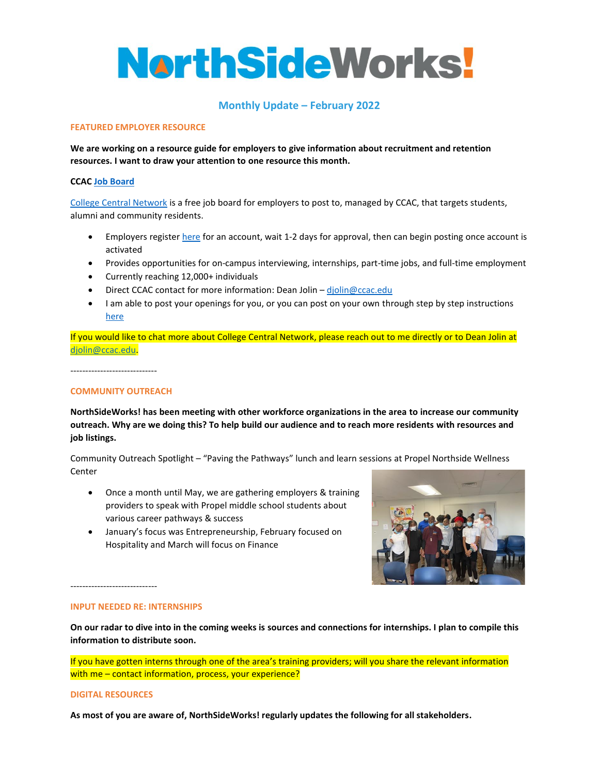# **NarthSideWorks!**

## **Monthly Update – February 2022**

#### **FEATURED EMPLOYER RESOURCE**

**We are working on a resource guide for employers to give information about recruitment and retention resources. I want to draw your attention to one resource this month.**

#### **CCAC [Job Board](https://www.collegecentral.com/ccac/)**

[College Central Network](https://www.collegecentral.com/SE/EmpRegForm.cfm?UnivCode=YCA) is a free job board for employers to post to, managed by CCAC, that targets students, alumni and community residents.

- Employers register [here](https://www.collegecentral.com/SE/EmpRegForm.cfm?UnivCode=YCA) for an account, wait 1-2 days for approval, then can begin posting once account is activated
- Provides opportunities for on-campus interviewing, internships, part-time jobs, and full-time employment
- Currently reaching 12,000+ individuals
- Direct CCAC contact for more information: Dean Jolin [djolin@ccac.edu](mailto:djolin@ccac.edu)
- I am able to post your openings for you, or you can post on your own through step by step instructions [here](https://www.collegecentral.com/SE/EmployerHelp.cfm)

If you would like to chat more about College Central Network, please reach out to me directly or to Dean Jolin at [djolin@ccac.edu.](mailto:djolin@ccac.edu)

-----------------------------

### **COMMUNITY OUTREACH**

**NorthSideWorks! has been meeting with other workforce organizations in the area to increase our community outreach. Why are we doing this? To help build our audience and to reach more residents with resources and job listings.** 

Community Outreach Spotlight – "Paving the Pathways" lunch and learn sessions at Propel Northside Wellness Center

- Once a month until May, we are gathering employers & training providers to speak with Propel middle school students about various career pathways & success
- January's focus was Entrepreneurship, February focused on Hospitality and March will focus on Finance



-----------------------------

#### **INPUT NEEDED RE: INTERNSHIPS**

**On our radar to dive into in the coming weeks is sources and connections for internships. I plan to compile this information to distribute soon.**

If you have gotten interns through one of the area's training providers; will you share the relevant information with me – contact information, process, your experience?

#### **DIGITAL RESOURCES**

**As most of you are aware of, NorthSideWorks! regularly updates the following for all stakeholders.**